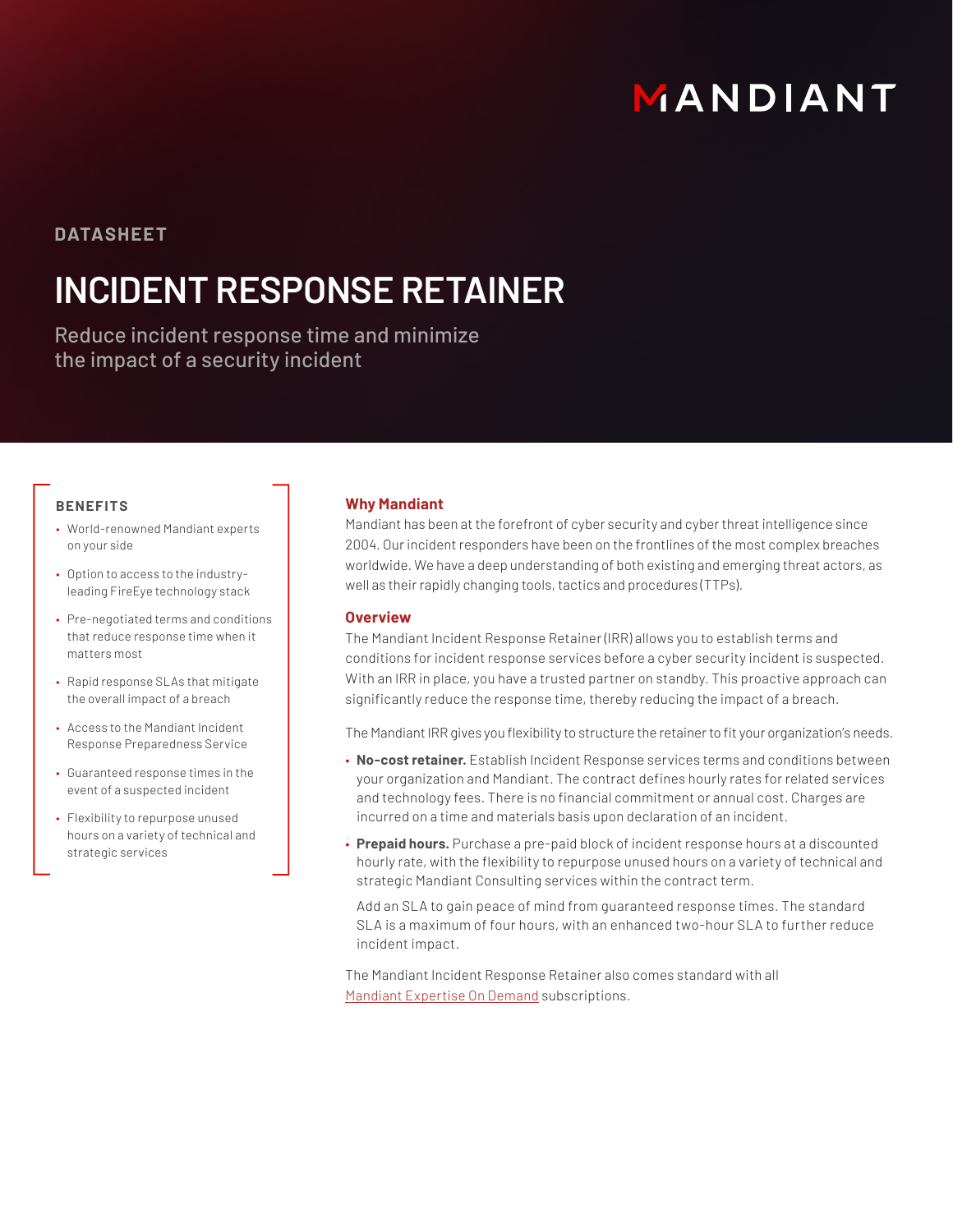# MANDIANT

### **DATASHEET**

## **INCIDENT RESPONSE RETAINER**

Reduce incident response time and minimize the impact of a security incident

#### **BENEFITS**

- World-renowned Mandiant experts on your side
- Option to access to the industryleading FireEye technology stack
- Pre-negotiated terms and conditions that reduce response time when it matters most
- Rapid response SLAs that mitigate the overall impact of a breach
- Access to the Mandiant Incident Response Preparedness Service
- Guaranteed response times in the event of a suspected incident
- Flexibility to repurpose unused hours on a variety of technical and strategic services

#### **Why Mandiant**

Mandiant has been at the forefront of cyber security and cyber threat intelligence since 2004. Our incident responders have been on the frontlines of the most complex breaches worldwide. We have a deep understanding of both existing and emerging threat actors, as well as their rapidly changing tools, tactics and procedures (TTPs).

#### **Overview**

The Mandiant Incident Response Retainer (IRR) allows you to establish terms and conditions for incident response services before a cyber security incident is suspected. With an IRR in place, you have a trusted partner on standby. This proactive approach can significantly reduce the response time, thereby reducing the impact of a breach.

The Mandiant IRR gives you flexibility to structure the retainer to fit your organization's needs.

- **No-cost retainer.** Establish Incident Response services terms and conditions between your organization and Mandiant. The contract defines hourly rates for related services and technology fees. There is no financial commitment or annual cost. Charges are incurred on a time and materials basis upon declaration of an incident.
- **Prepaid hours.** Purchase a pre-paid block of incident response hours at a discounted hourly rate, with the flexibility to repurpose unused hours on a variety of technical and strategic Mandiant Consulting services within the contract term.

Add an SLA to gain peace of mind from guaranteed response times. The standard SLA is a maximum of four hours, with an enhanced two-hour SLA to further reduce incident impact.

The Mandiant Incident Response Retainer also comes standard with all [Mandiant Expertise On Demand](https://www.fireeye.com/mandiant/expertise-on-demand.html) subscriptions.